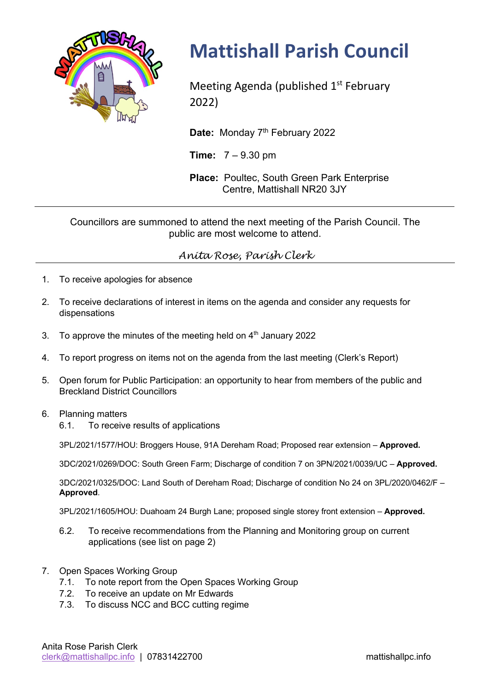

# **Mattishall Parish Council**

Meeting Agenda (published  $1<sup>st</sup>$  February 2022)

Date: Monday 7<sup>th</sup> February 2022

**Time:** 7 – 9.30 pm

**Place:** Poultec, South Green Park Enterprise Centre, Mattishall NR20 3JY

Councillors are summoned to attend the next meeting of the Parish Council. The public are most welcome to attend.

## *Anita Rose, Parish Clerk*

- 1. To receive apologies for absence
- 2. To receive declarations of interest in items on the agenda and consider any requests for dispensations
- 3. To approve the minutes of the meeting held on  $4<sup>th</sup>$  January 2022
- 4. To report progress on items not on the agenda from the last meeting (Clerk's Report)
- 5. Open forum for Public Participation: an opportunity to hear from members of the public and Breckland District Councillors
- 6. Planning matters
	- 6.1. To receive results of applications

3PL/2021/1577/HOU: Broggers House, 91A Dereham Road; Proposed rear extension – **Approved.**

3DC/2021/0269/DOC: South Green Farm; Discharge of condition 7 on 3PN/2021/0039/UC – **Approved.**

3DC/2021/0325/DOC: Land South of Dereham Road; Discharge of condition No 24 on 3PL/2020/0462/F – **Approved**.

3PL/2021/1605/HOU: Duahoam 24 Burgh Lane; proposed single storey front extension – **Approved.**

- 6.2. To receive recommendations from the Planning and Monitoring group on current applications (see list on page 2)
- 7. Open Spaces Working Group
	- 7.1. To note report from the Open Spaces Working Group
	- 7.2. To receive an update on Mr Edwards
	- 7.3. To discuss NCC and BCC cutting regime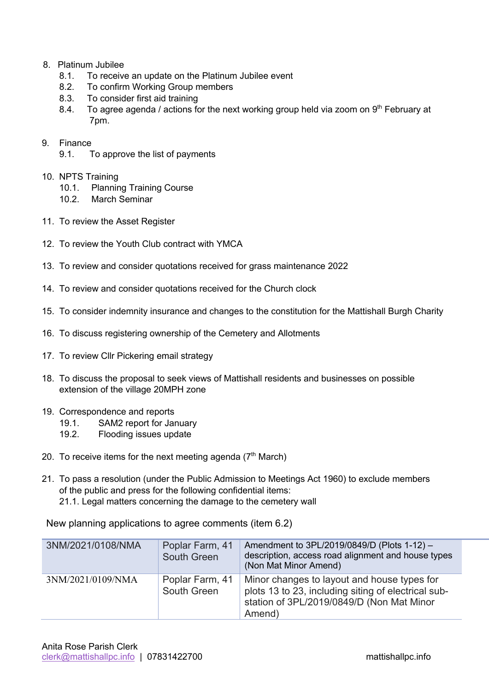### 8. Platinum Jubilee

- 8.1. To receive an update on the Platinum Jubilee event
- 8.2. To confirm Working Group members
- 8.3. To consider first aid training
- 8.4. To agree agenda / actions for the next working group held via zoom on  $9<sup>th</sup>$  February at 7pm.

#### 9. Finance

9.1. To approve the list of payments

#### 10. NPTS Training

- 10.1. Planning Training Course
- 10.2. March Seminar
- 11. To review the Asset Register
- 12. To review the Youth Club contract with YMCA
- 13. To review and consider quotations received for grass maintenance 2022
- 14. To review and consider quotations received for the Church clock
- 15. To consider indemnity insurance and changes to the constitution for the Mattishall Burgh Charity
- 16. To discuss registering ownership of the Cemetery and Allotments
- 17. To review Cllr Pickering email strategy
- 18. To discuss the proposal to seek views of Mattishall residents and businesses on possible extension of the village 20MPH zone
- 19. Correspondence and reports
	- 19.1. SAM2 report for January
	- 19.2. Flooding issues update
- 20. To receive items for the next meeting agenda  $(7<sup>th</sup> March)$
- 21. To pass a resolution (under the Public Admission to Meetings Act 1960) to exclude members of the public and press for the following confidential items: 21.1. Legal matters concerning the damage to the cemetery wall

New planning applications to agree comments (item 6.2)

| 3NM/2021/0108/NMA | Poplar Farm, 41<br>South Green | Amendment to 3PL/2019/0849/D (Plots 1-12) -<br>description, access road alignment and house types<br>(Non Mat Minor Amend)                                |
|-------------------|--------------------------------|-----------------------------------------------------------------------------------------------------------------------------------------------------------|
| 3NM/2021/0109/NMA | Poplar Farm, 41<br>South Green | Minor changes to layout and house types for<br>plots 13 to 23, including siting of electrical sub-<br>station of 3PL/2019/0849/D (Non Mat Minor<br>Amend) |